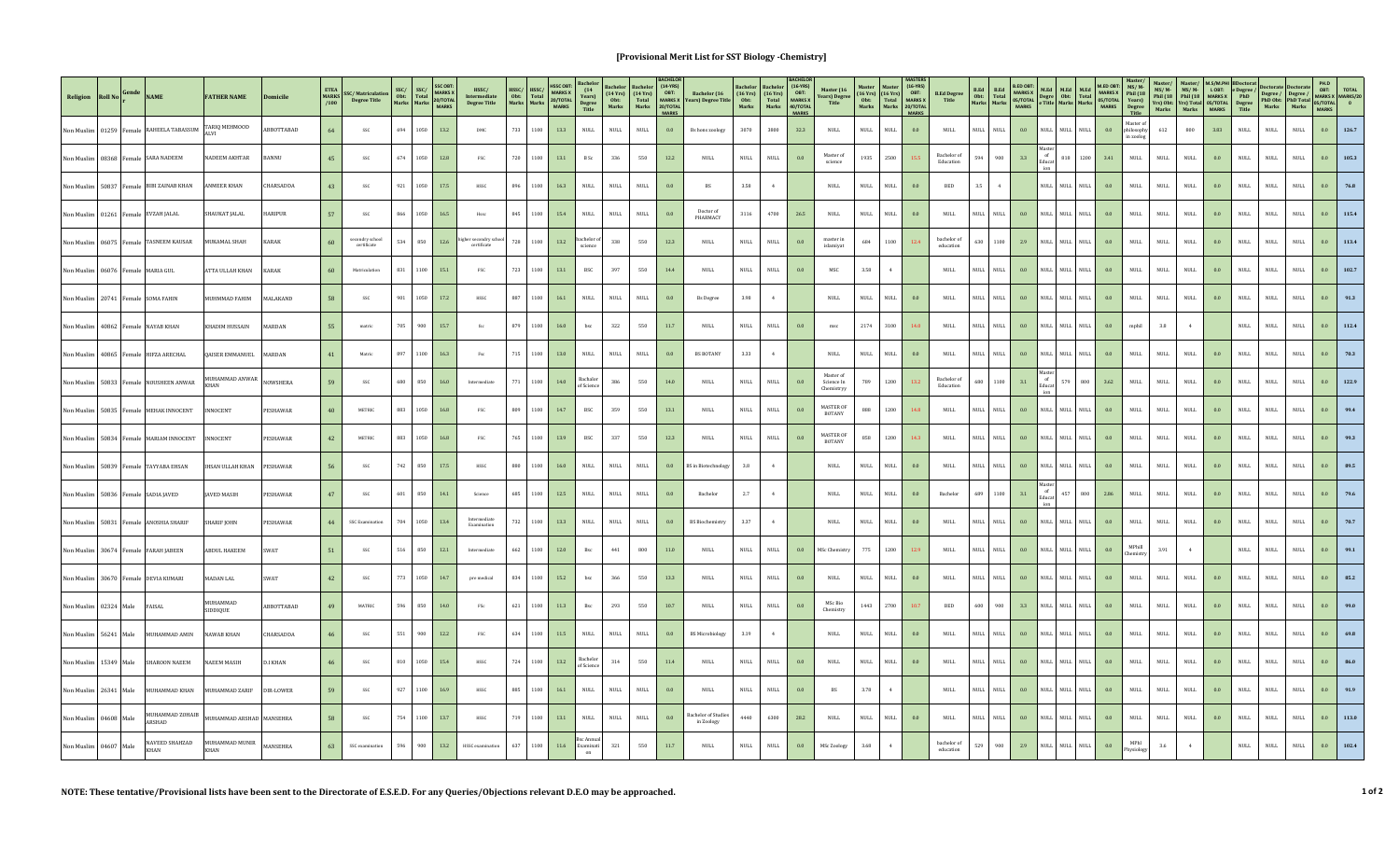## **[Provisional Merit List for SST Biology -Chemistry]**

| Religion Roll No Gende |       |                         | <b>NAME</b>                                 | <b>FATHER NAME</b>            | Domicile         | /100 | MARKS SSC/Matriculation<br><b>Degree Title</b>   | SSC/<br>Obt: Total<br>Marks Marks | <b>MARKS X</b><br>20/TOTAL<br><b>MARKS</b> | $\operatorname{HSSC}/\operatorname{Intermediate}$<br><b>Degree Title</b> | HSSC/<br>HSSC/<br>Total<br>Marks<br>Obt:<br>Marks | <b>MARKS X</b><br>20/TOTAL<br><b>MARKS</b> | (14<br>Years)<br>Degree<br>Title | (14Yrs)<br>Obt:<br>Marks     | $(14 Yrs)\nTotal\nMarks$     | $(14-YRS)$<br>OBT:<br><b>20/TOTAL</b><br><b>MARKS</b> | Bachelor (16<br>MARKS X Years) Degree Title | $(16 \text{ Yrs})$<br>$0bt$<br>Marks | $(16$ Yrs)<br>Total<br>Marks | $(16-YRS)$<br>OBT:<br>MARKS X<br>40/TOTAL<br><b>MARKS</b> | Master (16<br><b>Years</b> ) Degree<br>Title | (16Yrs)<br>$\begin{array}{c} \textbf{(16 Yrs)}\\ \textbf{Total}\\ \textbf{Marks} \end{array}$<br>$0bt$<br>Marks | $(16-YRS)$<br>OBT:<br><b>MARKS X</b><br>20/TOTAL<br><b>MARKS</b> | <b>B.Ed Degree</b><br>Title  | <b>B.Ed.</b><br><b>B.Ed</b><br>Obt: Total<br>Marks Marks | <b>B.ED OBT</b><br><b>MARKS X</b><br>05/TOTAL<br><b>MARKS</b> |                     | M.Ed   M.Ed   M.Ed<br>Degre Obt: Total<br>e Title Marks Marks | <b>MARKS X</b><br>05/TOTAL<br>MARKS | Phil (18<br>Years)<br>Degree<br>Title | $MS/M-$<br>Phil (18<br>Marks | $MS/M-$<br>Phil (18<br>Yrs) Obt: Yrs) Total 05/TOTAL<br>Marks |         | LOBT: e Degree /<br>MARKS X PhD<br>05/TOTAL Degree<br>MARKS Title |                     | Degree / Degree /<br>PhD Obt: PhD Total<br>Marks Marks | PH.D<br>OBT:<br>MARKS X MARKS/20<br>05/TOTAL<br>$\overline{0}$<br><b>MARKS</b> |
|------------------------|-------|-------------------------|---------------------------------------------|-------------------------------|------------------|------|--------------------------------------------------|-----------------------------------|--------------------------------------------|--------------------------------------------------------------------------|---------------------------------------------------|--------------------------------------------|----------------------------------|------------------------------|------------------------------|-------------------------------------------------------|---------------------------------------------|--------------------------------------|------------------------------|-----------------------------------------------------------|----------------------------------------------|-----------------------------------------------------------------------------------------------------------------|------------------------------------------------------------------|------------------------------|----------------------------------------------------------|---------------------------------------------------------------|---------------------|---------------------------------------------------------------|-------------------------------------|---------------------------------------|------------------------------|---------------------------------------------------------------|---------|-------------------------------------------------------------------|---------------------|--------------------------------------------------------|--------------------------------------------------------------------------------|
|                        |       |                         | Non Muslim 01259 Female RAHEELA TABASSUM    | FARIQ MEHMOOD                 | BBOTTABAD        | 64   | SSC                                              | 694                               | 1050<br>13.2                               | $DMC$                                                                    | 733<br>1100                                       | 13.3                                       | $\mathop{\rm NULL}$              | $\mbox{NULL}$                | $\mbox{NULL}$                | $0.0\,$                                               | Bs hons zoology                             | 3070                                 | 3800                         | 32.3                                                      | $\mathop{\rm NULL}$                          | $\mbox{NULL}$<br><b>NULL</b>                                                                                    | 0.0                                                              | <b>NULL</b>                  | NULL<br>$\ensuremath{\mathsf{NULL}}$                     | 0.0                                                           | NULL NULL           | <b>NULL</b>                                                   | 0.0                                 | Master of<br>philosophy<br>in zoolog  | 612                          | 800                                                           | 3.83    | $\mathop{\rm NULL}$                                               | $\mbox{NULL}$       | $\mbox{NULL}$                                          | $0.0\,$<br>126.7                                                               |
|                        |       |                         | Non Muslim   08368   Female   SARA NADEEM   | <b>NADEEM AKHTAR</b>          | <b>BANNII</b>    | 45   | SSC                                              | 674                               | 1050<br>$12.8\,$                           | FSC                                                                      | 720<br>1100                                       | 13.1                                       | $\, {\bf B} \,$ Sc $\,$          | 336                          | 550                          | 12.2                                                  | NIILL.                                      | <b>NULL</b>                          | <b>NULL</b>                  | $0.0\,$                                                   | Master of<br>science                         | 1935<br>2500                                                                                                    | 155                                                              | Bachelor of<br>Education     | 900<br>594                                               | 3.3                                                           | of<br>Educa<br>ion  | 818 1200                                                      | 3.41                                | <b>NULL</b>                           | <b>NULL</b>                  | $\mathop{\rm NULL}$                                           | 0.0     | <b>NULL</b>                                                       | <b>NULL</b>         | $\mathop{\rm NULL}$                                    | 0.0<br>105.3                                                                   |
| ion Muslim             | 50837 | Female                  | <b>IBI ZAINAB KHAN</b>                      | <b>NMEER KHAN</b>             | <b>HARSADDA</b>  | 43   | $\operatorname{SSC}$                             | 921                               | 1050<br>17.5                               | HSSC                                                                     | 1100<br>896                                       | 16.3                                       | NULL                             | $\mbox{NULL}$                | $\ensuremath{\mathsf{NULL}}$ | $0.0\,$                                               | <b>BS</b>                                   | 3.58                                 | 4                            |                                                           | $\mathop{\rm NULL}$                          | <b>NULL</b><br>$\mathop{\rm NULL}$                                                                              | 0.0                                                              | <b>BED</b>                   | 3.5<br>4                                                 |                                                               |                     | NULL NULL NULL                                                | 0.0                                 | <b>NULL</b>                           | NULL                         | $\mbox{NULL}$                                                 | 0.0     | $\mathsf{NULL}$                                                   | <b>NULL</b>         | <b>NULL</b>                                            | 0.0<br>76.8                                                                    |
|                        |       |                         | Non Muslim 01261 Female EVZAH JALAL         | HAUKAT JALAL                  | <b>IARIPUR</b>   | 57   | SSC                                              | 866                               | 1050<br>16.5                               | Hssc                                                                     | 845<br>1100                                       | 15.4                                       | NULL                             | $\mbox{NULL}$                | $\ensuremath{\mathsf{NULL}}$ | 0.0                                                   | Doctor of<br>PHARMACY                       | 3116                                 | 4700                         | 26.5                                                      | <b>NULL</b>                                  | <b>NULL</b><br>$\mathop{\rm NULL}$                                                                              | 0.0                                                              | $\ensuremath{\mathsf{NULL}}$ | NULL<br>$\ensuremath{\mathsf{NULL}}$                     | 0.0                                                           | <b>NULL</b>         | $\mathop{\rm NULL}$<br><b>NULL</b>                            | $0.0\,$                             | $\mathop{\rm NULL}$                   | NULL                         | $\mbox{NULL}$                                                 | $0.0\,$ | <b>NULL</b>                                                       | $\mathop{\rm NULL}$ | $\mathsf{NULL}$                                        | 0.0<br>115.4                                                                   |
| Non Muslim             |       | 06075 Female            | <b>ASNEEM KAUSAR</b>                        | <b>IUKAMAL SHAH</b>           | KARAK            | 60   | secondry school<br>$\operatorname{certificance}$ | 534                               | 850<br>12.6                                | igher secondry scho<br>certificate                                       | 728<br>1100                                       | 13.2                                       | bachelor<br>science              | 338                          | 550                          | 12.3                                                  | <b>NULL</b>                                 | $_{\rm NULL}$                        | $\mbox{NULL}$                | 0.0                                                       | master in<br>islamiyat                       | 684<br>1100                                                                                                     | 12.4                                                             | bachelor of<br>education     | 1100<br>630                                              | 2.9                                                           | <b>NULL</b>         | NULL NULL                                                     | 0.0                                 | $_{\rm NULL}$                         | $\ensuremath{\mathsf{NULL}}$ | $\mathop{\rm NULL}$                                           | 0.0     | <b>NULL</b>                                                       | <b>NULL</b>         | <b>NULL</b>                                            | 0.0<br>113.4                                                                   |
|                        |       |                         | Non Muslim 06076 Female MARIA GUL           | ATTA ULLAH KHAN               | <b>KARAK</b>     | 60   | Matriculation                                    | 831                               | 1100<br>15.1                               | $_{\mathrm{FSC}}$                                                        | 723<br>1100                                       | 13.1                                       | $_{\rm BSC}$                     | 397                          | 550                          | $14.4\,$                                              | <b>NULL</b>                                 | $\mathop{\rm NULL}$                  | <b>NULL</b>                  | 0.0                                                       | MSC                                          | 3.58<br>4                                                                                                       |                                                                  | <b>NULL</b>                  | <b>NULL</b><br>$\ensuremath{\mathsf{NULL}}$              | 0.0                                                           | <b>NULL</b>         | NULL NULL                                                     | 0.0                                 | <b>NULL</b>                           | <b>NULL</b>                  | $\mbox{NULL}$                                                 | 0.0     | <b>NULL</b>                                                       | <b>NULL</b>         | $\mathsf{NULL}$                                        | 0.0<br>102.7                                                                   |
|                        |       |                         | Non Muslim 20741 Female SOMA FAHIN          | JHMMAD FAHIM                  | <b>MALAKAND</b>  | 58   | $\operatorname{\mathsf{SSC}}$                    | $\bf{901}$                        | 1050<br>17.2                               | HSSC                                                                     | 887<br>1100                                       | $16.1\,$                                   | $\mathop{\rm NULL}$              | $\mbox{NULL}$                | $\mbox{NULL}$                | $0.0\,$                                               | <b>Bs</b> Degree                            | 3.98                                 | $4 -$                        |                                                           | <b>NULL</b>                                  | $\mathop{\rm NULL}$<br><b>NULL</b>                                                                              | 0.0                                                              | <b>NULL</b>                  | <b>NULL</b><br>$\mathop{\rm NULL}$                       | 0.0                                                           | <b>NULL</b>         | NULL NULL                                                     | 0.0                                 | NULL                                  | $\mathop{\rm NULL}$          | $\ensuremath{\mathsf{NULL}}$                                  | 0.0     | <b>NULL</b>                                                       | $\mbox{NULL}$       | $\ensuremath{\mathsf{NULL}}$                           | 0.0<br>91.3                                                                    |
|                        |       |                         | Non Muslim 40862 Female NAYAB KHAN          | <b>HADIM HUSSAIN</b>          | MARDAN           | 55   | matric                                           | 705                               | 900<br>15.7                                | $_{\rm fsc}$                                                             | 879<br>1100                                       | $16.0\,$                                   | $_{\rm bsc}$                     | 322                          | 550                          | $11.7\,$                                              | $\mathop{\rm NULL}$                         | $_{\rm NULL}$                        | $\mbox{NULL}$                | 0.0                                                       | msc                                          | 2174<br>3100                                                                                                    | 14.0                                                             | <b>NULL</b>                  | <b>NULL</b><br>NULL                                      | $0.0\,$                                                       |                     | NULL NULL NULL                                                | 0.0                                 | mphil                                 | $3.8\,$                      | 4                                                             |         | $\mathop{\rm NULL}$                                               | $\mathop{\rm NULL}$ | $\mbox{NULL}$                                          | 0.0<br>112.4                                                                   |
|                        |       |                         | Non Muslim   40865   Female   HIFZA ARECHAL | <b>OAISER EMMANUEL</b>        | MARDAN           | 41   | Matric                                           | 897                               | 1100<br>16.3                               | $\operatorname{\sf Fsc}$                                                 | 1100<br>715                                       | 13.0                                       | <b>NULL</b>                      | $\mathop{\rm NULL}$          | <b>NULL</b>                  | $0.0\,$                                               | <b>BS BOTANY</b>                            | 3.33                                 | 4                            |                                                           | <b>NULL</b>                                  | $\mathop{\rm NULL}$<br>$\ensuremath{\mathsf{NULL}}$                                                             | 0.0                                                              | <b>NULL</b>                  | NULL<br>NULL                                             | 0.0                                                           |                     | NULL NULL NULL                                                | 0.0                                 | <b>NULL</b>                           | <b>NULL</b>                  | $\mathop{\rm NULL}$                                           | 0.0     | $\mathsf{NULL}$                                                   | $\mathop{\rm NULL}$ | $\mathop{\rm NULL}$                                    | 0.0<br>70.3                                                                    |
| <b>Jon Muslim</b>      | 50833 | Female                  | <b>NOUSHEEN ANWAR</b>                       | <b>JUHAMMAD ANWAR</b><br>HAN: | NOWSHERA         | 59   | SSC                                              | 680                               | 850<br>16.0                                | Intermediate                                                             | 1100<br>771                                       | 14.0                                       | Bachalor<br>of Science           | 386                          | 550                          | $14.0\,$                                              | $\mathop{\rm NULL}$                         | $\mathop{\rm NULL}$                  | $\mbox{NULL}$                | 0.0                                                       | Master o<br>Science In<br>Chemistryy         | 1200<br>789                                                                                                     | 13.2                                                             | Bachelor of<br>Education     | 680<br>1100                                              | $3.1\,$                                                       | of<br>Educat<br>ion | 579<br>800                                                    | 3.62                                | $\mathop{\rm NULL}$                   | $\mathop{\rm NULL}$          | $\mathop{\rm NULL}$                                           | $0.0\,$ | $\mathop{\rm NULL}$                                               | $\mathop{\rm NULL}$ | $\mathop{\rm NULL}$                                    | 122.9<br>0.0                                                                   |
|                        |       |                         | Non Muslim 50835 Female MEHAK INNOCENT      | NNOCENT                       | PESHAWAR         | 40   | METRIC                                           | 883                               | 1050<br>$16.8\,$                           | $_{\mathrm{FSC}}$                                                        | 809<br>1100                                       | 14.7                                       | $_{\rm BSC}$                     | 359                          | 550                          | $13.1\,$                                              | $\mathop{\rm NULL}$                         | $\mathop{\rm NULL}$                  | NULL                         | $0.0\,$                                                   | <b>MASTER OF</b><br><b>BOTANY</b>            | 888<br>1200                                                                                                     | 14.8                                                             | $\ensuremath{\mathsf{NULL}}$ | NULL<br>$\ensuremath{\mathsf{NULL}}$                     | $0.0\,$                                                       |                     | NULL NULL NULL                                                | 0.0                                 | <b>NULL</b>                           | NULL                         | $\mathop{\rm NULL}$                                           | 0.0     | <b>NULL</b>                                                       | <b>NULL</b>         | $\mathop{\rm NULL}$                                    | $0.0\,$                                                                        |
| Non Muslim             | 50834 |                         | <b>ARIAM INNOCENT</b>                       | NNOCENT                       | <b>PESHAWAR</b>  | 42   | METRIC                                           | 883                               | 1050<br>16.8                               | <b>FSC</b>                                                               | 765<br>1100                                       | 13.9                                       | $_{\rm BSC}$                     | 337                          | 550                          | 12.3                                                  | $\mbox{NULL}$                               | $_{\rm NULL}$                        | NULL                         | 0.0                                                       | <b>MASTER OF</b><br>BOTANY                   | 858<br>1200                                                                                                     | 143                                                              | <b>NULL</b>                  | <b>NULL</b><br>$\ensuremath{\mathsf{NULL}}$              | 0.0                                                           | NIILL.              | $\mathop{\rm NULL}$<br><b>NULL</b>                            | 0.0                                 | $_{\rm NULL}$                         | $\ensuremath{\mathsf{NULL}}$ | <b>NULL</b>                                                   | 0.0     | <b>NULL</b>                                                       | <b>NULL</b>         | $\ensuremath{\mathsf{NULL}}$                           | 0.0                                                                            |
| Non Muslim             | 50839 |                         | AYYABA EHSAN                                | HSAN ULLAH KHAN               | PESHAWAR         | 56   | $\operatorname{\mathsf{SSC}}$                    | 742                               | 850<br>17.5                                | HSSC                                                                     | 880<br>1100                                       | 16.0                                       | <b>NULL</b>                      | NULL                         | NULL                         | 0.0                                                   | <b>BS</b> in Biotechnolog                   | 3.8                                  | 4                            |                                                           | $\mathop{\rm NULL}$                          | <b>NULL</b><br><b>NULL</b>                                                                                      | $0.0\,$                                                          | <b>NULL</b>                  | NULL<br>$\mathop{\rm NULL}$                              | 0.0                                                           | <b>NULL</b>         | NULL NULL                                                     | 0.0                                 | <b>NULL</b>                           | NULL                         | $\mathop{\rm NULL}$                                           | 0.0     | $\mathsf{NULL}$                                                   | <b>NULL</b>         | $\mathop{\rm NULL}$                                    | 0.0                                                                            |
| Non Muslim 50836       |       | Female                  | ADIA JAVED                                  | <b>AVED MASIH</b>             | <b>ESHAWAR</b>   | 47   | SSC                                              | 601                               | 850<br>14.1                                | Science                                                                  | 685<br>1100                                       | $12.5\,$                                   | $\mathop{\rm NULL}$              | $\mbox{NULL}$                | $\ensuremath{\mathsf{NULL}}$ | 0.0                                                   | Bachelor                                    | 2.7                                  | $4 -$                        |                                                           | $\mathop{\rm NULL}$                          | $\mathop{\rm NULL}$<br>$\mathop{\rm NULL}$                                                                      | $0.0\,$                                                          | <b>Bachelo</b>               | 1100<br>689                                              | $3.1\,$                                                       | of<br>Educa         | 800<br>457                                                    | 2.86                                | $\mathop{\rm NULL}$                   | $\mathop{\rm NULL}$          | $\ensuremath{\mathsf{NULL}}$                                  | $0.0\,$ | $\mathop{\rm NULL}$                                               | $\mbox{NULL}$       | $\mathsf{NULL}$                                        | 0.0                                                                            |
|                        |       | Non Muslim 50831 Female | <b>ANOSHIA SHARII</b>                       | <b>HARIF IOHN</b>             | PESHAWAR         | 44   | <b>SSC Examination</b>                           | 704                               | 1050<br>13.4                               | ntermediate<br>Examination                                               | 1100<br>732                                       | 13.3                                       | <b>NULL</b>                      | <b>NULL</b>                  | <b>NULL</b>                  | 0.0                                                   | <b>BS</b> Biochemistry                      | 3.37                                 | 4                            |                                                           | <b>NULL</b>                                  | <b>NULL</b><br>$\mathop{\rm NULL}$                                                                              | 0.0                                                              | <b>NULL</b>                  | <b>NULL</b><br><b>NULL</b>                               | 0.0                                                           |                     | NULL NULL NULL                                                | 0.0                                 | <b>NULL</b>                           | <b>NULL</b>                  | <b>NULL</b>                                                   | 0.0     | <b>NULL</b>                                                       | $\mathop{\rm NULL}$ | <b>NULL</b>                                            | 0.0                                                                            |
| ion Muslim             |       | 30674 Female            | <b>FARAH JABEEN</b>                         | <b>ABDUL HAKEEM</b>           | SWAT             | 51   | SSC                                              | 516                               | 850<br>12.1                                | Intermediate                                                             | 1100<br>662                                       | 12.0                                       | $_{\rm Bsc}$                     | 441                          | 800                          | $11.0\,$                                              | <b>NULL</b>                                 | $\mathop{\rm NULL}$                  | <b>NULL</b>                  | 0.0                                                       | MSc Chemistry                                | 775<br>1200                                                                                                     | 12.9                                                             | <b>NULL</b>                  | <b>NULL</b><br><b>NULL</b>                               | 0.0                                                           | <b>NULL</b>         | NULL NULL                                                     | 0.0                                 | MPhill<br>hemistr                     | 3.91                         | $-4$                                                          |         | $\mathop{\rm NULL}$                                               | $\mathop{\rm NULL}$ | $\mathop{\rm NULL}$                                    | 0.0<br>99.1                                                                    |
| Non Muslim             |       | 30670 Female            | <b>DEVIA KUMAR</b>                          | <b>MADAN LAL</b>              | <b>SWAT</b>      | 42   | SSC                                              | 773                               | 1050<br>14.7                               | pre medical                                                              | 834<br>1100                                       | 15.2                                       | bsc                              | 366                          | 550                          | 13.3                                                  | $\mathop{\rm NULL}$                         | $\mathop{\rm NULL}$                  | $\mbox{NULL}$                | $0.0\,$                                                   | <b>NULL</b>                                  | <b>NULL</b><br><b>NULL</b>                                                                                      | 0.0                                                              | <b>NULL</b>                  | NULL<br>$\ensuremath{\mathsf{NULL}}$                     | $0.0\,$                                                       | <b>NULL</b>         | NULL NULL                                                     | 0.0                                 | <b>NULL</b>                           | <b>NULL</b>                  | $\mathop{\rm NULL}$                                           | $0.0\,$ | $\mathsf{NULL}$                                                   | <b>NULL</b>         | $\mathop{\rm NULL}$                                    | 0.0<br>85.2                                                                    |
| Non Muslim 02324 Male  |       |                         | FAISAL                                      | MIJHAMMAD<br>SIDDIQUE         | ABBOTTABAD       | 49   | MATRIC                                           | 596                               | 850<br>14.0                                | $_{\mathrm{FSc}}$                                                        | 621<br>1100                                       | 11.3                                       | Bsc                              | 293                          | 550                          | 10.7                                                  | $\mathop{\rm NULL}$                         | $_{\rm NULL}$                        | $\mbox{NULL}$                | $0.0\,$                                                   | MSc Bio<br>Chemistry                         | 1443<br>2700                                                                                                    | 10.7                                                             | $_{\rm BED}$                 | 600<br>900                                               | $3.3\,$                                                       | <b>NULL</b>         | NULL<br>$\mathop{\rm NULL}$                                   | 0.0                                 | $\mathop{\rm NULL}$                   | $\mbox{NULL}$                | $\mathop{\rm NULL}$                                           | 0.0     | $\mathsf{NULL}$                                                   | $\mathop{\rm NULL}$ | <b>NULL</b>                                            | 0.0                                                                            |
| Non Muslim             |       | 56241 Male              | <b>IIIHAMMAD AMIN</b>                       | <b>VAWAR KHAN</b>             | <b>HARSADDA</b>  | 46   | SSC                                              | 551                               | 900<br>12.2                                | FSC                                                                      | 634<br>1100                                       | 11.5                                       | NULL                             | $\mbox{NULL}$                | $\ensuremath{\mathsf{NULL}}$ | 0.0                                                   | <b>BS Microbiology</b>                      | 3.19                                 | 4                            |                                                           | $\mathop{\rm NULL}$                          | <b>NULL</b><br><b>NULL</b>                                                                                      | 0.0                                                              | <b>NULL</b>                  | NIILL.<br><b>NULL</b>                                    | 0.0                                                           | NIILL.              | NULL NULL                                                     | 0.0                                 | $\mathop{\rm NULL}$                   | NULL                         | $\mbox{NULL}$                                                 | 0.0     | <b>NULL</b>                                                       | $\mathop{\rm NULL}$ | $\ensuremath{\mathsf{NULL}}$                           | $0.0\,$<br>69.8                                                                |
| Non Muslim             |       | 15349 Male              | HAROON NAEEM                                | <b>NAEEM MASIH</b>            | D.I KHAN         | 46   | SSC                                              | 810                               | 1050<br>15.4                               | HSSC                                                                     | 724<br>1100                                       | 13.2                                       | Bachelo<br>of Science            | $314\,$                      | 550                          | 11.4                                                  | <b>NULL</b>                                 | $_{\rm NULL}$                        | <b>NULL</b>                  | $0.0\,$                                                   | <b>NULL</b>                                  | <b>NULL</b><br><b>NULL</b>                                                                                      | 0.0                                                              | <b>NULL</b>                  | <b>NULL</b><br><b>NULL</b>                               | $0.0\,$                                                       | <b>NULL</b>         | NULL NULL                                                     | 0.0                                 | $\mathsf{NULL}$                       | $\mathop{\rm NULL}$          | $\mathop{\rm NULL}$                                           | 0.0     | <b>NULL</b>                                                       | $\mathop{\rm NULL}$ | $\mathop{\rm NULL}$                                    | $0.0\,$<br>86.0                                                                |
| Non Muslim 26341 Male  |       |                         | UHAMMAD KHAN                                | <b>UHAMMAD ZARIF</b>          | <b>DIR-LOWER</b> | 59   | SSC                                              | 927                               | 1100<br>16.9                               | HSSC                                                                     | 885<br>1100                                       | $16.1\,$                                   | $\mathop{\rm NULL}$              | $\mbox{NULL}$                | $\ensuremath{\mathsf{NULL}}$ | $0.0\,$                                               | $\mathop{\rm NULL}$                         | $\mathop{\rm NULL}$                  | $\ensuremath{\mathsf{NULL}}$ | $0.0\,$                                                   | $_{\rm BS}$                                  | 3.78<br>4                                                                                                       |                                                                  | $\ensuremath{\mathsf{NULL}}$ | NULL<br>$\ensuremath{\mathsf{NULL}}$                     | $0.0\,$                                                       | $\mathop{\rm NULL}$ | $\ensuremath{\mathsf{NULL}}\xspace$<br>$\mathop{\rm NULL}$    | 0.0                                 | $\mathop{\rm NULL}$                   | <b>NULL</b>                  | $\mbox{NULL}$                                                 | $0.0\,$ | <b>NULL</b>                                                       | $\mathop{\rm NULL}$ | $\mathsf{NULL}$                                        | $0.0\,$<br>91.9                                                                |
| Non Muslim 04608 Male  |       |                         | UHAMMAD ZOHAIB<br><b>RSHAD</b>              | MUHAMMAD ARSHAD MANSEHRA      |                  | 58   | SSC                                              | 754                               | 1100<br>13.7                               | <b>HSSC</b>                                                              | 1100<br>719                                       | 13.1                                       | $_{\rm NULL}$                    | $\ensuremath{\mathsf{NULL}}$ | $\mathop{\rm NULL}$          | 0.0                                                   | achelor of Studies<br>in Zoology            | 4440                                 | 6300                         | 28.2                                                      | <b>NULL</b>                                  | <b>NULL</b><br><b>NULL</b>                                                                                      | 0.0                                                              | <b>NULL</b>                  | NULL<br>$\mathop{\rm NULL}$                              | 0.0                                                           |                     | NULL NULL NULL                                                | 0.0                                 | $\mathop{\rm NULL}$                   | NULL                         | $\mathop{\rm NULL}$                                           | 0.0     | <b>NULL</b>                                                       | $_{\rm NULL}$       | <b>NULL</b>                                            | 113.0<br>0.0                                                                   |
| Non Muslim 04607 Male  |       |                         | <b>AVEED SHAHZAD</b>                        | IUHAMMAD MUNIR                | MANSEHRA         | 63   | SSC examination                                  | 596                               | 900<br>13.2                                |                                                                          | 637<br>1100                                       | 11.6                                       | Examinati                        | 321                          | 550                          | 11.7                                                  | <b>NULL</b>                                 | $\mathop{\rm NULL}$                  | $\mathop{\rm NULL}$          | 0.0                                                       | MSc Zoology                                  | 3.68                                                                                                            |                                                                  | bachelor of<br>education     | 900<br>529                                               | 2.9                                                           |                     | NULL NULL NULL                                                | 0.0                                 | MPhl<br>hysiology                     | $3.6\,$                      |                                                               |         | $\mathop{\rm NULL}$                                               | $\mathop{\rm NULL}$ | <b>NULL</b>                                            |                                                                                |